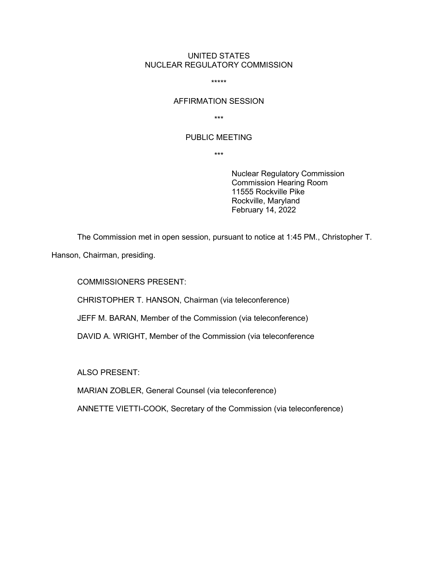## UNITED STATES NUCLEAR REGULATORY COMMISSION

\*\*\*\*\*

#### AFFIRMATION SESSION

\*\*\*

# PUBLIC MEETING

\*\*\*

Nuclear Regulatory Commission Commission Hearing Room 11555 Rockville Pike Rockville, Maryland February 14, 2022

The Commission met in open session, pursuant to notice at 1:45 PM., Christopher T.

Hanson, Chairman, presiding.

COMMISSIONERS PRESENT:

CHRISTOPHER T. HANSON, Chairman (via teleconference)

JEFF M. BARAN, Member of the Commission (via teleconference)

DAVID A. WRIGHT, Member of the Commission (via teleconference

ALSO PRESENT:

MARIAN ZOBLER, General Counsel (via teleconference)

ANNETTE VIETTI-COOK, Secretary of the Commission (via teleconference)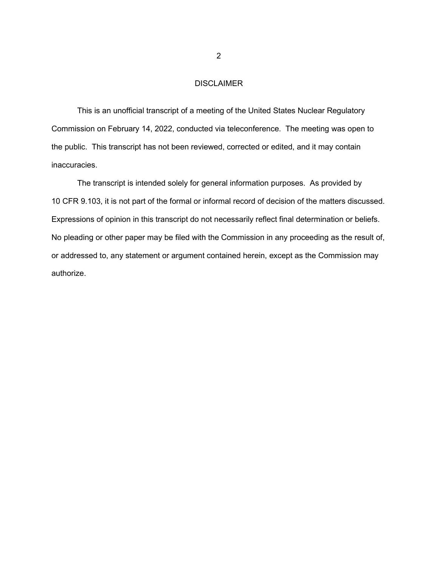# DISCLAIMER

This is an unofficial transcript of a meeting of the United States Nuclear Regulatory Commission on February 14, 2022, conducted via teleconference. The meeting was open to the public. This transcript has not been reviewed, corrected or edited, and it may contain inaccuracies.

The transcript is intended solely for general information purposes. As provided by 10 CFR 9.103, it is not part of the formal or informal record of decision of the matters discussed. Expressions of opinion in this transcript do not necessarily reflect final determination or beliefs. No pleading or other paper may be filed with the Commission in any proceeding as the result of, or addressed to, any statement or argument contained herein, except as the Commission may authorize.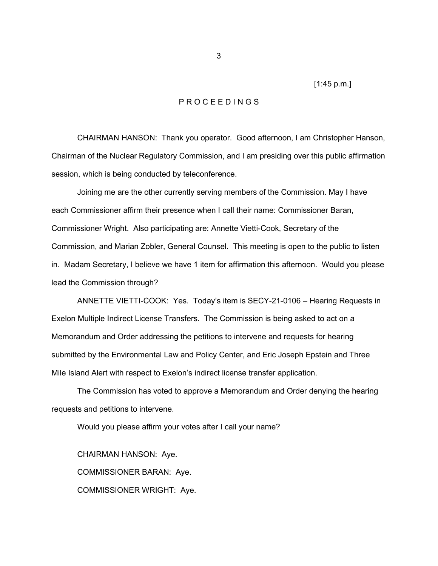[1:45 p.m.]

#### P R O C E E D I N G S

CHAIRMAN HANSON: Thank you operator. Good afternoon, I am Christopher Hanson, Chairman of the Nuclear Regulatory Commission, and I am presiding over this public affirmation session, which is being conducted by teleconference.

Joining me are the other currently serving members of the Commission. May I have each Commissioner affirm their presence when I call their name: Commissioner Baran, Commissioner Wright. Also participating are: Annette Vietti-Cook, Secretary of the Commission, and Marian Zobler, General Counsel. This meeting is open to the public to listen in. Madam Secretary, I believe we have 1 item for affirmation this afternoon. Would you please lead the Commission through?

ANNETTE VIETTI-COOK: Yes. Today's item is SECY-21-0106 – Hearing Requests in Exelon Multiple Indirect License Transfers. The Commission is being asked to act on a Memorandum and Order addressing the petitions to intervene and requests for hearing submitted by the Environmental Law and Policy Center, and Eric Joseph Epstein and Three Mile Island Alert with respect to Exelon's indirect license transfer application.

The Commission has voted to approve a Memorandum and Order denying the hearing requests and petitions to intervene.

Would you please affirm your votes after I call your name?

CHAIRMAN HANSON: Aye. COMMISSIONER BARAN: Aye. COMMISSIONER WRIGHT: Aye.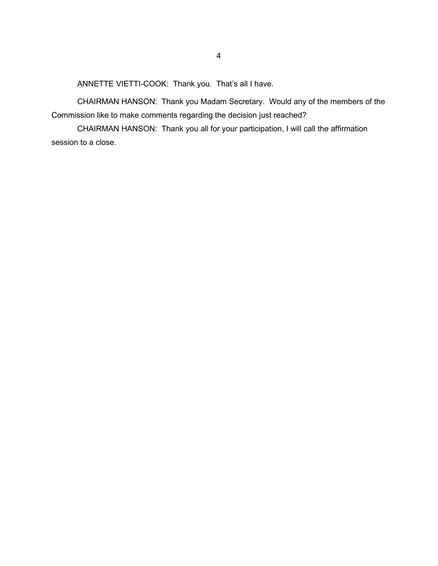ANNETTE VIETTI-COOK: Thank you. That's all I have.

CHAIRMAN HANSON: Thank you Madam Secretary. Would any of the members of the Commission like to make comments regarding the decision just reached?

CHAIRMAN HANSON: Thank you all for your participation, I will call the affirmation session to a close.